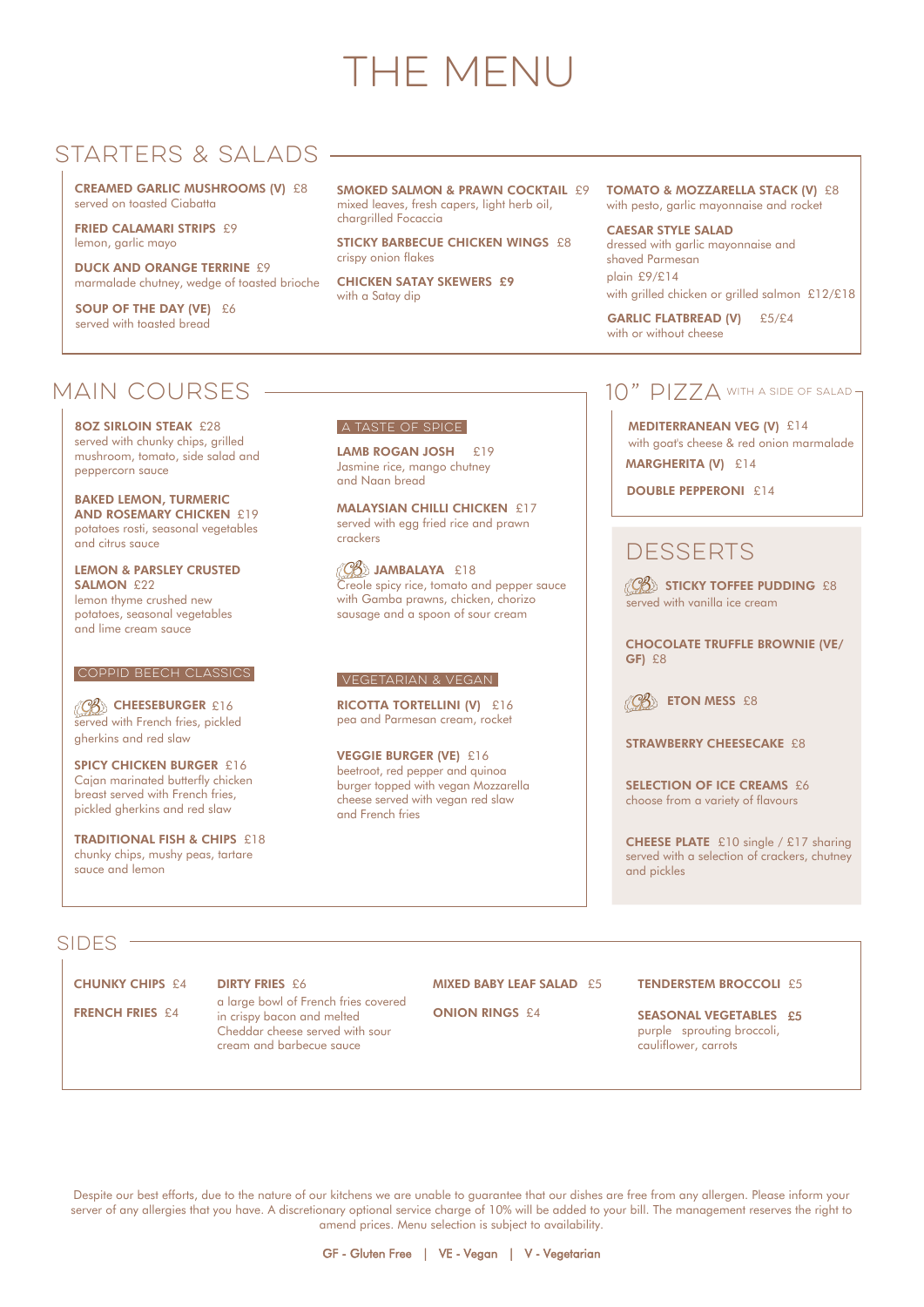CREAMED GARLIC MUSHROOMS (V) £8 served on toasted Ciabatta

FRIED CALAMARI STRIPS £9 lemon, garlic mayo

**DUCK AND ORANGE TERRINE £9** marmalade chutney, wedge of toasted brioche

SOUP OF THE DAY (VE) £6 served with toasted bread

SMOKED SALMON & PRAWN COCKTAIL £9 mixed leaves, fresh capers, light herb oil, chargrilled Focaccia

STICKY BARBECUE CHICKEN WINGS £8 crispy onion flakes

TOMATO & MOZZARELLA STACK (V) £8 with pesto, garlic mayonnaise and rocket

CHICKEN SATAY SKEWERS £9 with a Satay dip

LEMON & PARSLEY CRUSTED SALMON £22

LAMB ROGAN JOSH £19 Jasmine rice, mango chutney and Naan bread

CAESAR STYLE SALAD dressed with garlic mayonnaise and shaved Parmesan plain £9/£14 with grilled chicken or grilled salmon £12/£18

GARLIC FLATBREAD (V) £5/£4 with or without cheese

### MAIN COURSES -

MALAYSIAN CHILLI CHICKEN £17 served with egg fried rice and prawn crackers

 $\langle \mathcal{C}\mathcal{B}\rangle$  JAMBALAYA £18 Creole spicy rice, tomato and pepper sauce with Gamba prawns, chicken, chorizo sausage and a spoon of sour cream

RICOTTA TORTELLINI (V) £16 pea and Parmesan cream, rocket

8OZ SIRLOIN STEAK £28 served with chunky chips, grilled mushroom, tomato, side salad and peppercorn sauce

MEDITERRANEAN VEG (V) £14 with goat's cheese & red onion marmalade MARGHERITA (V) £14

DOUBLE PEPPERONI £14

### **DESSERTS**

 $\langle\mathcal{C}\!\mathcal{B}\rangle$  sticky toffee pudding £8 served with vanilla ice cream

BAKED LEMON, TURMERIC **AND ROSEMARY CHICKEN £19** potatoes rosti, seasonal vegetables and citrus sauce

> SELECTION OF ICE CREAMS £6 choose from a variety of flavours

lemon thyme crushed new potatoes, seasonal vegetables and lime cream sauce

CB CHEESEBURGER £16 served with French fries, pickled gherkins and red slaw

SPICY CHICKEN BURGER £16 Cajan marinated butterfly chicken breast served with French fries, pickled gherkins and red slaw

VEGGIE BURGER (VE) £16 beetroot, red pepper and quinoa burger topped with vegan Mozzarella cheese served with vegan red slaw and French fries

#### $10"$   $PIZZA$  with a side of salad –

CHOCOLATE TRUFFLE BROWNIE (VE/ GF) £8

 $\langle \mathcal{C}\mathcal{B}\rangle$  eton mess £8

STRAWBERRY CHEESECAKE £8

CHEESE PLATE £10 single / £17 sharing served with a selection of crackers, chutney and pickles

#### $SIDES -$

 $\epsilon$ 

 $\sum_{i=1}^{n}$ 

MIVED BABY LEAF CALAD **OF** 

TENDERSTED BROCKLING

TRADITIONAL FISH & CHIPS £18 chunky chips, mushy peas, tartare sauce and lemon

#### Vegetarian & vegan

#### A taste of spice

#### Coppid beech classics

| <b>CHUNKY CHIPS £4</b> | <b>DIRIT FRIES £6</b>                                                                                                             | <b>MIAED BABY LEAF SALAD ES</b> | <b>IENDERSIEM BROCCOLI ES</b>                                                       |
|------------------------|-----------------------------------------------------------------------------------------------------------------------------------|---------------------------------|-------------------------------------------------------------------------------------|
| <b>FRENCH FRIES £4</b> | a large bowl of French fries covered<br>in crispy bacon and melted<br>Cheddar cheese served with sour<br>cream and barbecue sauce | <b>ONION RINGS £4</b>           | <b>SEASONAL VEGETABLES £5</b><br>purple sprouting broccoli,<br>cauliflower, carrots |
|                        |                                                                                                                                   |                                 |                                                                                     |

Despite our best efforts, due to the nature of our kitchens we are unable to guarantee that our dishes are free from any allergen. Please inform your server of any allergies that you have. A discretionary optional service charge of 10% will be added to your bill. The management reserves the right to amend prices. Menu selection is subject to availability.

GF - Gluten Free | VE - Vegan | V - Vegetarian

# THE MENU

## STARTERS & SALADS —